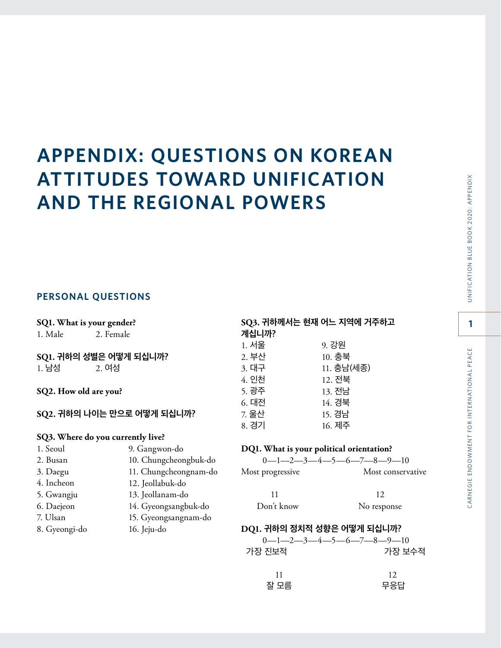# **APPENDIX: QUESTIONS ON KOREAN ATTITUDES TOWARD UNIFICATION AND THE REGIONAL POWERS**

## **PERSONAL QUESTIONS**

| SQ1. What is your gender?  |                                   | SQ3. 귀하께서는 현재 어느 지역에 거주하고                                                  |                   |
|----------------------------|-----------------------------------|----------------------------------------------------------------------------|-------------------|
| 1. Male                    | 2. Female                         | 계십니까?                                                                      |                   |
|                            |                                   | 1. 서울                                                                      | 9. 강원             |
| SQ1. 귀하의 성별은 어떻게 되십니까?     |                                   | 2. 부산                                                                      | 10. 충북            |
| 1. 남성                      | 2.여성                              | 3. 대구                                                                      | 11. 충남(세종)        |
|                            |                                   | 4. 인천                                                                      | 12. 전북            |
| SQ2. How old are you?      |                                   | 5. 광주                                                                      | 13. 전남            |
|                            |                                   | 6. 대전                                                                      | 14. 경북            |
| SQ2. 귀하의 나이는 만으로 어떻게 되십니까? |                                   | 7. 울산                                                                      | 15. 경남            |
|                            |                                   | 8. 경기                                                                      | 16. 제주            |
|                            | SQ3. Where do you currently live? |                                                                            |                   |
| 1. Seoul                   | 9. Gangwon-do                     | DQ1. What is your political orientation?                                   |                   |
| 2. Busan                   | 10. Chungcheongbuk-do             | $0 - 1 - 2 - 3 - 4 - 5 - 6 - 7 - 8 - 9 - 10$                               |                   |
| 3. Daegu                   | 11. Chungcheongnam-do             | Most progressive                                                           | Most conservative |
| 4. Incheon                 | 12. Jeollabuk-do                  |                                                                            |                   |
| 5. Gwangju                 | 13. Jeollanam-do                  | 11                                                                         | 12                |
| 6. Daejeon                 | 14. Gyeongsangbuk-do              | Don't know                                                                 | No response       |
| 7. Ulsan                   | 15. Gyeongsangnam-do              |                                                                            |                   |
| 8. Gyeongi-do              | 16. Jeju-do                       | DQ1. 귀하의 정치적 성향은 어떻게 되십니까?<br>$0 - 1 - 2 - 3 - 4 - 5 - 6 - 7 - 8 - 9 - 10$ |                   |
|                            |                                   |                                                                            |                   |
|                            |                                   | 가장 진보적                                                                     | 가장 보수적            |

**1**

UNIFICATION BLUE BOOK 2020: APPENDIX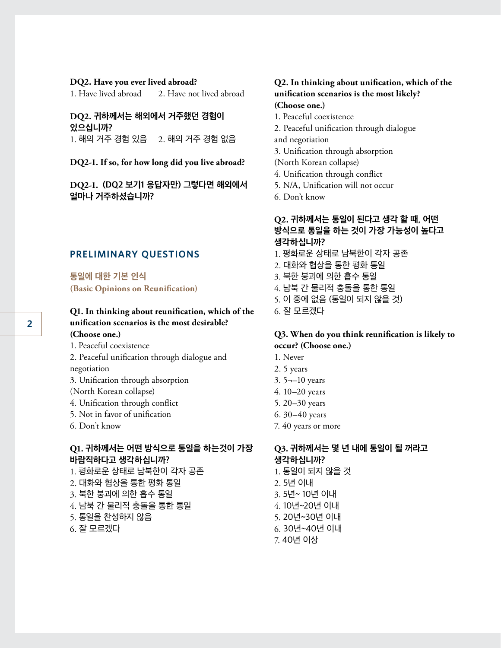#### **DQ2. Have you ever lived abroad?**

1. Have lived abroad 2. Have not lived abroad

#### **DQ2. 귀하께서는 해외에서 거주했던 경험이 있으십니까?**  $1.$  해외 거주 경험 있음  $2.$  해외 거주 경험 없음

#### **DQ2-1. If so, for how long did you live abroad?**

**DQ2-1. (DQ2 보기1 응답자만) 그렇다면 해외에서 얼마나 거주하셨습니까?**

#### **PRELIMINARY QUESTIONS**

**통일에 대한 기본 인식 (Basic Opinions on Reunification)**

## **Q1. In thinking about reunification, which of the unification scenarios is the most desirable? (Choose one.)**

- 1. Peaceful coexistence
- 2. Peaceful unification through dialogue and negotiation
- 3. Unification through absorption
- (North Korean collapse)
- 4. Unification through conflict
- 5. Not in favor of unification
- 6. Don't know

## **Q1. 귀하께서는 어떤 방식으로 통일을 하는것이 가장 바람직하다고 생각하십니까?**

- 1. 평화로운 상태로 남북한이 각자 공존
- 2. 대화와 협상을 통한 평화 통일
- 3. 북한 붕괴에 의한 흡수 통일
- 4. 남북 간 물리적 충돌을 통한 통일
- 5. 통일을 찬성하지 않음
- 6. 잘 모르겠다

# **Q2. In thinking about unification, which of the unification scenarios is the most likely?**

- **(Choose one.)**
- 1. Peaceful coexistence
- 2. Peaceful unification through dialogue and negotiation
- 3. Unification through absorption
- (North Korean collapse)
- 4. Unification through conflict
- 5. N/A, Unification will not occur
- 6. Don't know

# **Q2. 귀하께서는 통일이 된다고 생각 할 때, 어떤 방식으로 통일을 하는 것이 가장 가능성이 높다고 생각하십니까?**

- 1. 평화로운 상태로 남북한이 각자 공존
- 2. 대화와 협상을 통한 평화 통일
- 3. 북한 붕괴에 의한 흡수 통일
- 4. 남북 간 물리적 충돌을 통한 통일
- 5. 이 중에 없음 (통일이 되지 않을 것)
- 6. 잘 모르겠다

#### **Q3. When do you think reunification is likely to occur? (Choose one.)**

- 1. Never
- 2. 5 years
- 3. 5¬–10 years
- 4. 10–20 years
- 5. 20–30 years
- 6. 30–40 years
- 7. 40 years or more

## **Q3. 귀하께서는 몇 년 내에 통일이 될 꺼라고 생각하십니까?**

- 1. 통일이 되지 않을 것
- 2. 5년 이내
- 3. 5년~ 10년 이내
- 4. 10년~20년 이내
- 5. 20년~30년 이내
- 6. 30년~40년 이내
- 7. 40년 이상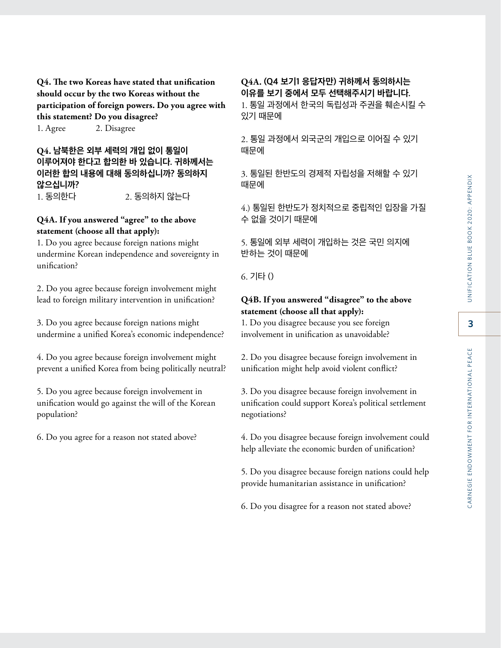**Q4. The two Koreas have stated that unification should occur by the two Koreas without the participation of foreign powers. Do you agree with this statement? Do you disagree?** 1. Agree 2. Disagree

## **Q4. 남북한은 외부 세력의 개입 없이 통일이 이루어져야 한다고 합의한 바 있습니다. 귀하께서는 이러한 합의 내용에 대해 동의하십니까? 동의하지 않으십니까?** 1. 동의한다 2. 동의하지 않는다

#### **Q4A. If you answered "agree" to the above statement (choose all that apply):**

1. Do you agree because foreign nations might undermine Korean independence and sovereignty in unification?

2. Do you agree because foreign involvement might lead to foreign military intervention in unification?

3. Do you agree because foreign nations might undermine a unified Korea's economic independence?

4. Do you agree because foreign involvement might prevent a unified Korea from being politically neutral?

5. Do you agree because foreign involvement in unification would go against the will of the Korean population?

6. Do you agree for a reason not stated above?

# **Q4A. (Q4 보기1 응답자만) 귀하께서 동의하시는 이유를 보기 중에서 모두 선택해주시기 바랍니다.**

1. 통일 과정에서 한국의 독립성과 주권을 훼손시킬 수 있기 때문에

2. 통일 과정에서 외국군의 개입으로 이어질 수 있기 때문에

3. 통일된 한반도의 경제적 자립성을 저해할 수 있기 때문에

4.) 통일된 한반도가 정치적으로 중립적인 입장을 가질 수 없을 것이기 때문에

5. 통일에 외부 세력이 개입하는 것은 국민 의지에 반하는 것이 때문에

6. 기타 ()

#### **Q4B. If you answered "disagree" to the above statement (choose all that apply):**

1. Do you disagree because you see foreign involvement in unification as unavoidable?

2. Do you disagree because foreign involvement in unification might help avoid violent conflict?

3. Do you disagree because foreign involvement in unification could support Korea's political settlement negotiations?

4. Do you disagree because foreign involvement could help alleviate the economic burden of unification?

5. Do you disagree because foreign nations could help provide humanitarian assistance in unification?

6. Do you disagree for a reason not stated above?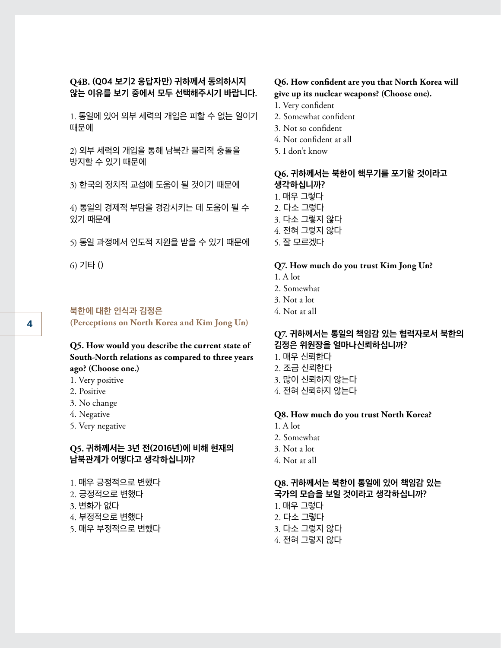#### **Q4B. (Q04 보기2 응답자만) 귀하께서 동의하시지 않는 이유를 보기 중에서 모두 선택해주시기 바랍니다.**

1. 통일에 있어 외부 세력의 개입은 피할 수 없는 일이기 때문에

2) 외부 세력의 개입을 통해 남북간 물리적 충돌을 방지할 수 있기 때문에

3) 한국의 정치적 교섭에 도움이 될 것이기 때문에

4) 통일의 경제적 부담을 경감시키는 데 도움이 될 수 있기 때문에

5) 통일 과정에서 인도적 지원을 받을 수 있기 때문에

6) 기타 ()

#### **북한에 대한 인식과 김정은**

**(Perceptions on North Korea and Kim Jong Un)**

## **Q5. How would you describe the current state of South-North relations as compared to three years ago? (Choose one.)**

- 1. Very positive
- 2. Positive
- 3. No change
- 4. Negative
- 5. Very negative

#### **Q5. 귀하께서는 3년 전(2016년)에 비해 현재의 남북관계가 어떻다고 생각하십니까?**

- 1. 매우 긍정적으로 변했다
- 2. 긍정적으로 변했다
- 3. 변화가 없다
- 4. 부정적으로 변했다
- 5. 매우 부정적으로 변했다

#### **Q6. How confident are you that North Korea will give up its nuclear weapons? (Choose one).**

- 1. Very confident
- 2. Somewhat confident
- 3. Not so confident
- 4. Not confident at all
- 5. I don't know

# **Q6. 귀하께서는 북한이 핵무기를 포기할 것이라고 생각하십니까?**

- 1. 매우 그렇다
- 2. 다소 그렇다
- 3. 다소 그렇지 않다
- 4. 전혀 그렇지 않다
- 5. 잘 모르겠다

#### **Q7. How much do you trust Kim Jong Un?**

- 1. A lot
- 2. Somewhat
- 3. Not a lot
- 4. Not at all

#### **Q7. 귀하께서는 통일의 책임감 있는 협력자로서 북한의 김정은 위원장을 얼마나신뢰하십니까?**

- 1. 매우 신뢰한다
- 2. 조금 신뢰한다
- 3. 많이 신뢰하지 않는다
- 4. 전혀 신뢰하지 않는다

#### **Q8. How much do you trust North Korea?**

- 1. A lot
- 2. Somewhat
- 3. Not a lot
- 4. Not at all

#### **Q8. 귀하께서는 북한이 통일에 있어 책임감 있는 국가의 모습을 보일 것이라고 생각하십니까?**

- 1. 매우 그렇다
- 2. 다소 그렇다
- 3. 다소 그렇지 않다
- 4. 전혀 그렇지 않다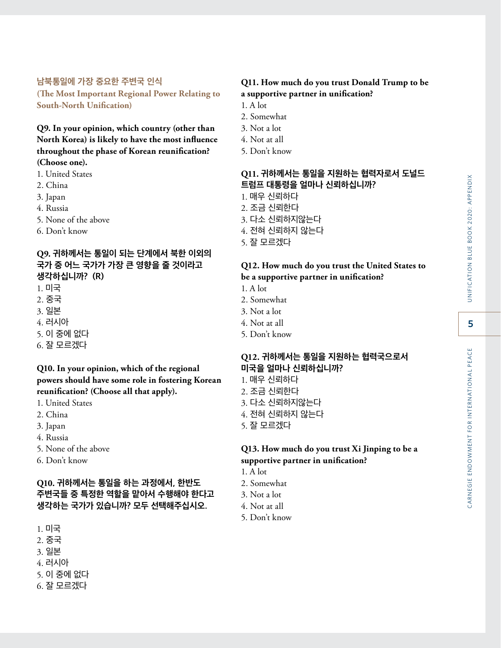CARNEGIE ENDOWMENT FOR INTERNATIONAL PEACE

#### **남북통일에 가장 중요한 주변국 인식 (The Most Important Regional Power Relating to**

**South-North Unification)** 

**Q9. In your opinion, which country (other than North Korea) is likely to have the most influence throughout the phase of Korean reunification? (Choose one).**

- 1. United States
- 2. China
- 3. Japan
- 4. Russia
- 5. None of the above
- 6. Don't know

## **Q9. 귀하께서는 통일이 되는 단계에서 북한 이외의 국가 중 어느 국가가 가장 큰 영향을 줄 것이라고 생각하십니까? (R)**

- 1. 미국
- 2. 중국
- 3. 일본
- 4. 러시아
- 5. 이 중에 없다
- 6. 잘 모르겠다

# **Q10. In your opinion, which of the regional powers should have some role in fostering Korean reunification? (Choose all that apply).**

- 1. United States
- 2. China
- 3. Japan
- 4. Russia
- 5. None of the above
- 6. Don't know

# **Q10. 귀하께서는 통일을 하는 과정에서, 한반도 주변국들 중 특정한 역할을 맡아서 수행해야 한다고 생각하는 국가가 있습니까? 모두 선택해주십시오.**

- 1. 미국
- 2. 중국
- 3. 일본
- 4. 러시아
- 5. 이 중에 없다
- 6. 잘 모르겠다

## **Q11. How much do you trust Donald Trump to be a supportive partner in unification?**

- 1. A lot
- 2. Somewhat
- 3. Not a lot
- 4. Not at all
- 5. Don't know

## **Q11. 귀하께서는 통일을 지원하는 협력자로서 도널드 트럼프 대통령을 얼마나 신뢰하십니까?**

- 1. 매우 신뢰하다
- 2. 조금 신뢰한다
- 3. 다소 신뢰하지않는다
- 4. 전혀 신뢰하지 않는다
- 5. 잘 모르겠다

#### **Q12. How much do you trust the United States to be a supportive partner in unification?**

- 1. A lot
- 2. Somewhat
- 3. Not a lot
- 4. Not at all
- 5. Don't know

# **Q12. 귀하께서는 통일을 지원하는 협력국으로서 미국을 얼마나 신뢰하십니까?**

- 1. 매우 신뢰하다
- 2. 조금 신뢰한다
- 3. 다소 신뢰하지않는다
- 4. 전혀 신뢰하지 않는다
- 5. 잘 모르겠다

## **Q13. How much do you trust Xi Jinping to be a supportive partner in unification?**

- 1. A lot
- 2. Somewhat
- 3. Not a lot
- 4. Not at all
- 5. Don't know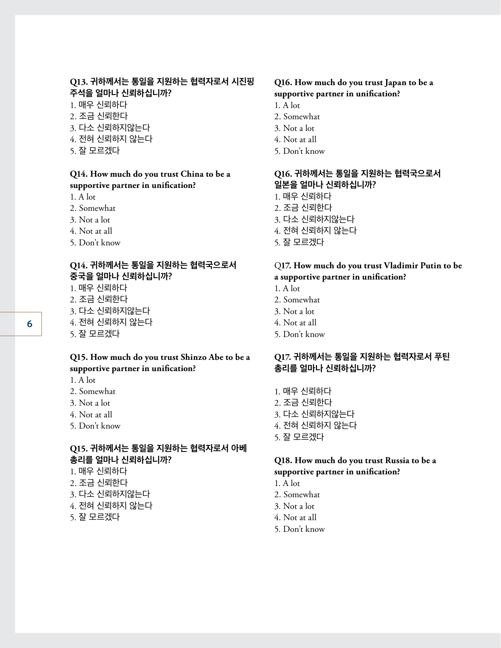#### **Q13. 귀하께서는 통일을 지원하는 협력자로서 시진핑 주석을 얼마나 신뢰하십니까?**

- 1. 매우 신뢰하다
- 2. 조금 신뢰한다
- 3. 다소 신뢰하지않는다
- 4. 전혀 신뢰하지 않는다
- 5. 잘 모르겠다

#### **Q14. How much do you trust China to be a supportive partner in unification?**

- 1. A lot
- 2. Somewhat
- 3. Not a lot
- 4. Not at all
- 5. Don't know

#### **Q14. 귀하께서는 통일을 지원하는 협력국으로서 중국을 얼마나 신뢰하십니까?**

- 1. 매우 신뢰하다
- 2. 조금 신뢰한다
- 3. 다소 신뢰하지않는다
- 4. 전혀 신뢰하지 않는다
- 5. 잘 모르겠다

#### **Q15. How much do you trust Shinzo Abe to be a supportive partner in unification?**

- 1. A lot
- 2. Somewhat
- 3. Not a lot
- 4. Not at all
- 5. Don't know

# **Q15. 귀하께서는 통일을 지원하는 협력자로서 아베 총리를 얼마나 신뢰하십니까?**

- 1. 매우 신뢰하다
- 2. 조금 신뢰한다
- 3. 다소 신뢰하지않는다
- 4. 전혀 신뢰하지 않는다
- 5. 잘 모르겠다

#### **Q16. How much do you trust Japan to be a supportive partner in unification?**

- 1. A lot
- 2. Somewhat
- 3. Not a lot
- 4. Not at all
- 5. Don't know

## **Q16. 귀하께서는 통일을 지원하는 협력국으로서 일본을 얼마나 신뢰하십니까?**

- 1. 매우 신뢰하다
- 2. 조금 신뢰한다
- 3. 다소 신뢰하지않는다
- 4. 전혀 신뢰하지 않는다
- 5. 잘 모르겠다

#### Q**17. How much do you trust Vladimir Putin to be a supportive partner in unification?**

- 1. A lot
- 2. Somewhat
- 3. Not a lot
- 4. Not at all
- 5. Don't know

#### **Q17. 귀하께서는 통일을 지원하는 협력자로서 푸틴 총리를 얼마나 신뢰하십니까?**

- 1. 매우 신뢰하다
- 2. 조금 신뢰한다
- 3. 다소 신뢰하지않는다
- 4. 전혀 신뢰하지 않는다
- 5. 잘 모르겠다

#### **Q18. How much do you trust Russia to be a supportive partner in unification?**

- 1. A lot
- 2. Somewhat
- 3. Not a lot
- 4. Not at all
- 5. Don't know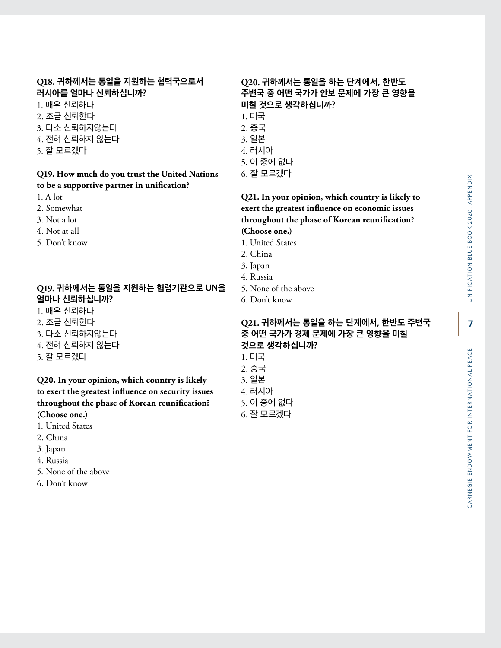## **Q18. 귀하께서는 통일을 지원하는 협력국으로서 러시아를 얼마나 신뢰하십니까?**

- 1. 매우 신뢰하다
- 2. 조금 신뢰한다
- 3. 다소 신뢰하지않는다
- 4. 전혀 신뢰하지 않는다
- 5. 잘 모르겠다

#### **Q19. How much do you trust the United Nations to be a supportive partner in unification?**

- 1. A lot
- 2. Somewhat
- 3. Not a lot
- 4. Not at all
- 5. Don't know

#### **Q19. 귀하께서는 통일을 지원하는 협렵기관으로 UN을 얼마나 신뢰하십니까?**

- 1. 매우 신뢰하다
- 2. 조금 신뢰한다
- 3. 다소 신뢰하지않는다
- 4. 전혀 신뢰하지 않는다
- 5. 잘 모르겠다

#### **Q20. In your opinion, which country is likely to exert the greatest influence on security issues throughout the phase of Korean reunification? (Choose one.)**

- 1. United States
- 2. China
- 3. Japan
- 4. Russia
- 5. None of the above
- 6. Don't know

## **Q20. 귀하께서는 통일을 하는 단계에서, 한반도 주변국 중 어떤 국가가 안보 문제에 가장 큰 영향을 미칠 것으로 생각하십니까?**

- 1. 미국
- 2. 중국
- 3. 일본
- 4. 러시아
- 5. 이 중에 없다
- 6. 잘 모르겠다

## **Q21. In your opinion, which country is likely to exert the greatest influence on economic issues throughout the phase of Korean reunification? (Choose one.)**

- 1. United States
- 2. China
- 3. Japan
- 4. Russia
- 5. None of the above
- 6. Don't know

## **Q21. 귀하께서는 통일을 하는 단계에서, 한반도 주변국 중 어떤 국가가 경제 문제에 가장 큰 영향을 미칠 것으로 생각하십니까?**

- 1. 미국 2. 중국 3. 일본 4. 러시아
- 5. 이 중에 없다
- 6. 잘 모르겠다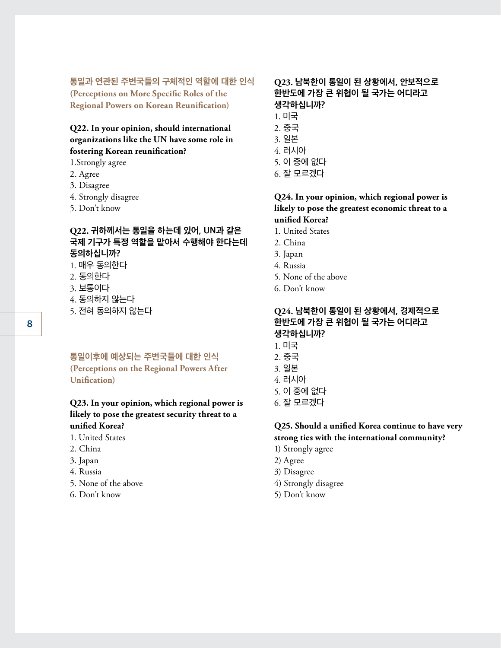#### **통일과 연관된 주변국들의 구체적인 역할에 대한 인식**

**(Perceptions on More Specific Roles of the Regional Powers on Korean Reunification)**

# **Q22. In your opinion, should international organizations like the UN have some role in fostering Korean reunification?**

1.Strongly agree

- 2. Agree
- 3. Disagree
- 4. Strongly disagree
- 5. Don't know

## **Q22. 귀하께서는 통일을 하는데 있어, UN과 같은 국제 기구가 특정 역할을 맡아서 수행해야 한다는데 동의하십니까?**

- 1. 매우 동의한다
- 2. 동의한다
- 3. 보통이다
- 4. 동의하지 않는다
- 5. 전혀 동의하지 않는다

#### **통일이후에 예상되는 주변국들에 대한 인식 (Perceptions on the Regional Powers After Unification)**

## **Q23. In your opinion, which regional power is likely to pose the greatest security threat to a unified Korea?**

- 1. United States
- 2. China
- 3. Japan
- 4. Russia
- 5. None of the above
- 6. Don't know

# **Q23. 남북한이 통일이 된 상황에서, 안보적으로 한반도에 가장 큰 위협이 될 국가는 어디라고 생각하십니까?**

- 1. 미국
- 2. 중국
- 3. 일본
- 4. 러시아
- 5. 이 중에 없다
- 6. 잘 모르겠다

#### **Q24. In your opinion, which regional power is likely to pose the greatest economic threat to a unified Korea?**

- 1. United States
- 2. China
- 3. Japan
- 4. Russia
- 5. None of the above
- 6. Don't know

## **Q24. 남북한이 통일이 된 상황에서, 경제적으로 한반도에 가장 큰 위협이 될 국가는 어디라고 생각하십니까?**

- 1. 미국
- 2. 중국
- 3. 일본
- 4. 러시아
- 5. 이 중에 없다
- 6. 잘 모르겠다

#### **Q25. Should a unified Korea continue to have very strong ties with the international community?**

- 1) Strongly agree
- 2) Agree
- 3) Disagree
- 4) Strongly disagree
- 5) Don't know